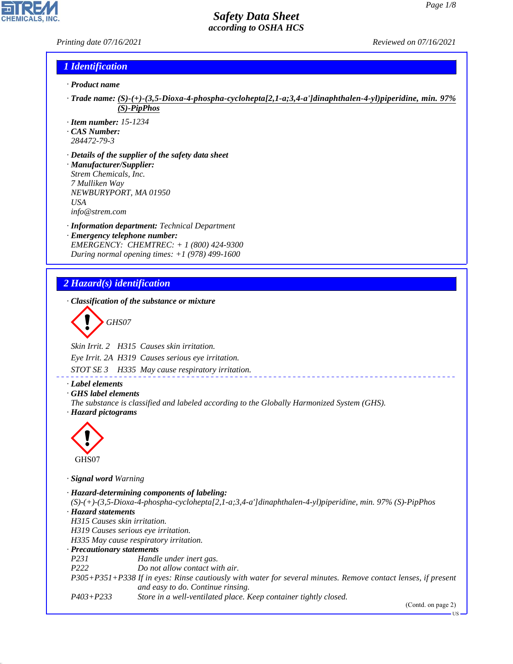*Printing date 07/16/2021 Reviewed on 07/16/2021*

# *1 Identification*

- *· Product name*
- *· Trade name: (S)-(+)-(3,5-Dioxa-4-phospha-cyclohepta[2,1-a;3,4-a']dinaphthalen-4-yl)piperidine, min. 97% (S)-PipPhos*
- *· Item number: 15-1234*
- *· CAS Number:*
- *284472-79-3*
- *· Details of the supplier of the safety data sheet · Manufacturer/Supplier: Strem Chemicals, Inc. 7 Mulliken Way NEWBURYPORT, MA 01950 USA info@strem.com*
- *· Information department: Technical Department · Emergency telephone number: EMERGENCY: CHEMTREC: + 1 (800) 424-9300*
- *During normal opening times: +1 (978) 499-1600*

## *2 Hazard(s) identification*

*· Classification of the substance or mixture*

$$
\bigotimes \mathrm{GH}S07
$$

*Skin Irrit. 2 H315 Causes skin irritation.*

*Eye Irrit. 2A H319 Causes serious eye irritation.*

*STOT SE 3 H335 May cause respiratory irritation.*

## *· Label elements*

*· GHS label elements*

*The substance is classified and labeled according to the Globally Harmonized System (GHS). · Hazard pictograms*



GHS07

44.1.1

*· Signal word Warning*

*· Hazard-determining components of labeling: (S)-(+)-(3,5-Dioxa-4-phospha-cyclohepta[2,1-a;3,4-a']dinaphthalen-4-yl)piperidine, min. 97% (S)-PipPhos · Hazard statements H315 Causes skin irritation. H319 Causes serious eye irritation. H335 May cause respiratory irritation. · Precautionary statements P231 Handle under inert gas. P222 Do not allow contact with air. P305+P351+P338 If in eyes: Rinse cautiously with water for several minutes. Remove contact lenses, if present and easy to do. Continue rinsing. P403+P233 Store in a well-ventilated place. Keep container tightly closed.*

(Contd. on page 2)

US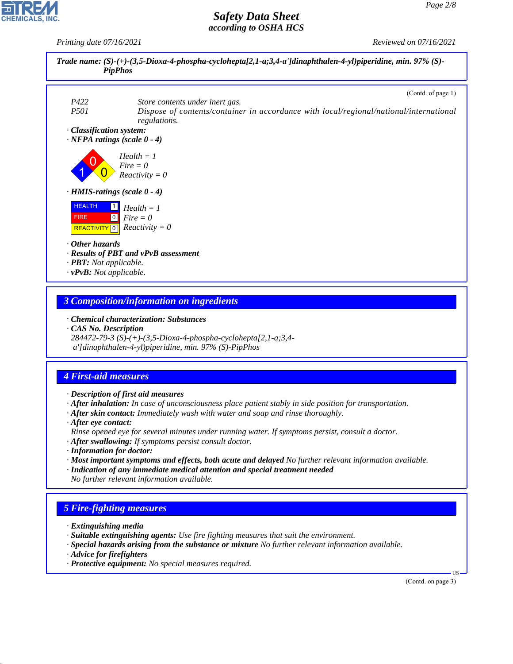*Printing date 07/16/2021 Reviewed on 07/16/2021*



## *3 Composition/information on ingredients*

*· Chemical characterization: Substances*

*· CAS No. Description*

*284472-79-3 (S)-(+)-(3,5-Dioxa-4-phospha-cyclohepta[2,1-a;3,4 a']dinaphthalen-4-yl)piperidine, min. 97% (S)-PipPhos*

## *4 First-aid measures*

*· Description of first aid measures*

*· After inhalation: In case of unconsciousness place patient stably in side position for transportation.*

*· After skin contact: Immediately wash with water and soap and rinse thoroughly.*

*· After eye contact:*

*Rinse opened eye for several minutes under running water. If symptoms persist, consult a doctor.*

- *· After swallowing: If symptoms persist consult doctor.*
- *· Information for doctor:*
- *· Most important symptoms and effects, both acute and delayed No further relevant information available.*
- *· Indication of any immediate medical attention and special treatment needed No further relevant information available.*

## *5 Fire-fighting measures*

- *· Extinguishing media*
- *· Suitable extinguishing agents: Use fire fighting measures that suit the environment.*
- *· Special hazards arising from the substance or mixture No further relevant information available.*
- *· Advice for firefighters*

44.1.1

*· Protective equipment: No special measures required.*

(Contd. on page 3)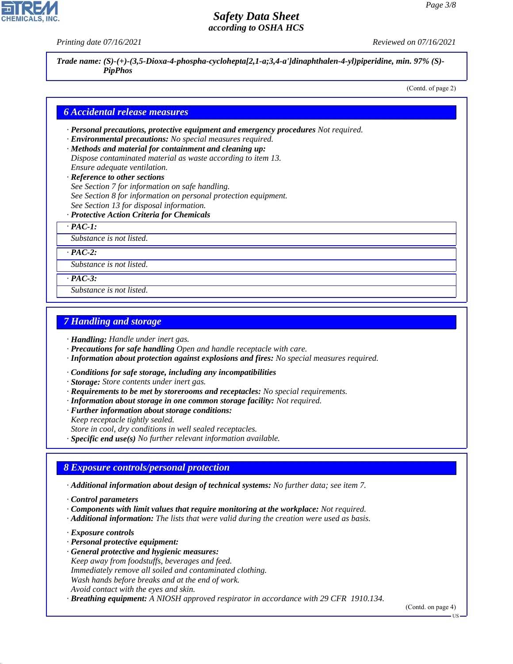*Printing date 07/16/2021 Reviewed on 07/16/2021*

*Trade name: (S)-(+)-(3,5-Dioxa-4-phospha-cyclohepta[2,1-a;3,4-a']dinaphthalen-4-yl)piperidine, min. 97% (S)- PipPhos*

(Contd. of page 2)

#### *6 Accidental release measures*

- *· Personal precautions, protective equipment and emergency procedures Not required.*
- *· Environmental precautions: No special measures required.*
- *· Methods and material for containment and cleaning up: Dispose contaminated material as waste according to item 13. Ensure adequate ventilation.*
- *· Reference to other sections*
- *See Section 7 for information on safe handling.*
- *See Section 8 for information on personal protection equipment.*
- *See Section 13 for disposal information.*
- *· Protective Action Criteria for Chemicals*
- *· PAC-1:*

*Substance is not listed.*

*· PAC-2:*

*Substance is not listed.*

*· PAC-3:*

*Substance is not listed.*

## *7 Handling and storage*

*· Handling: Handle under inert gas.*

- *· Precautions for safe handling Open and handle receptacle with care.*
- *· Information about protection against explosions and fires: No special measures required.*
- *· Conditions for safe storage, including any incompatibilities*
- *· Storage: Store contents under inert gas.*
- *· Requirements to be met by storerooms and receptacles: No special requirements.*
- *· Information about storage in one common storage facility: Not required.*
- *· Further information about storage conditions:*
- *Keep receptacle tightly sealed.*
- *Store in cool, dry conditions in well sealed receptacles.*

*· Specific end use(s) No further relevant information available.*

### *8 Exposure controls/personal protection*

*· Additional information about design of technical systems: No further data; see item 7.*

- *· Components with limit values that require monitoring at the workplace: Not required.*
- *· Additional information: The lists that were valid during the creation were used as basis.*
- *· Exposure controls*

44.1.1

- *· Personal protective equipment:*
- *· General protective and hygienic measures:*
- *Keep away from foodstuffs, beverages and feed.*
- *Immediately remove all soiled and contaminated clothing.*
- *Wash hands before breaks and at the end of work.*
- *Avoid contact with the eyes and skin.*

*· Breathing equipment: A NIOSH approved respirator in accordance with 29 CFR 1910.134.*

(Contd. on page 4)

*<sup>·</sup> Control parameters*

US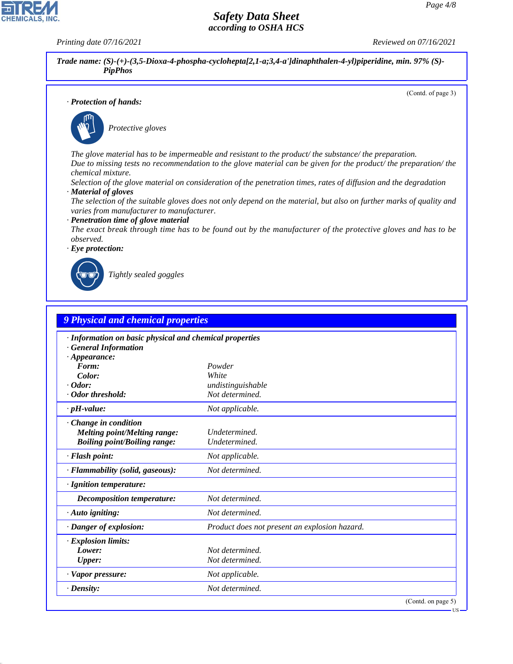**CHEMICALS, INC** 

*Printing date 07/16/2021 Reviewed on 07/16/2021*

*Trade name: (S)-(+)-(3,5-Dioxa-4-phospha-cyclohepta[2,1-a;3,4-a']dinaphthalen-4-yl)piperidine, min. 97% (S)- PipPhos*

(Contd. of page 3)

#### *· Protection of hands:*



\_S*Protective gloves*

*The glove material has to be impermeable and resistant to the product/ the substance/ the preparation. Due to missing tests no recommendation to the glove material can be given for the product/ the preparation/ the chemical mixture.*

*Selection of the glove material on consideration of the penetration times, rates of diffusion and the degradation · Material of gloves*

*The selection of the suitable gloves does not only depend on the material, but also on further marks of quality and varies from manufacturer to manufacturer.*

#### *· Penetration time of glove material*

*The exact break through time has to be found out by the manufacturer of the protective gloves and has to be observed.*





44.1.1

\_R*Tightly sealed goggles*

| 9 Physical and chemical properties                      |                                               |  |
|---------------------------------------------------------|-----------------------------------------------|--|
| · Information on basic physical and chemical properties |                                               |  |
| <b>General Information</b>                              |                                               |  |
| $\cdot$ Appearance:                                     |                                               |  |
| Form:                                                   | Powder                                        |  |
| Color:                                                  | White                                         |  |
| $\cdot$ Odor:                                           | undistinguishable                             |  |
| · Odor threshold:                                       | Not determined.                               |  |
| $\cdot$ pH-value:                                       | Not applicable.                               |  |
| · Change in condition                                   |                                               |  |
| <b>Melting point/Melting range:</b>                     | Undetermined.                                 |  |
| <b>Boiling point/Boiling range:</b>                     | Undetermined.                                 |  |
| · Flash point:                                          | Not applicable.                               |  |
| · Flammability (solid, gaseous):                        | Not determined.                               |  |
| · Ignition temperature:                                 |                                               |  |
| Decomposition temperature:                              | Not determined.                               |  |
| $\cdot$ Auto igniting:                                  | Not determined.                               |  |
| · Danger of explosion:                                  | Product does not present an explosion hazard. |  |
| · Explosion limits:                                     |                                               |  |
| Lower:                                                  | Not determined.                               |  |
| Upper:                                                  | Not determined.                               |  |
| $\cdot$ Vapor pressure:                                 | Not applicable.                               |  |
| $\cdot$ Density:                                        | Not determined.                               |  |
|                                                         | (Contd. on page 5)                            |  |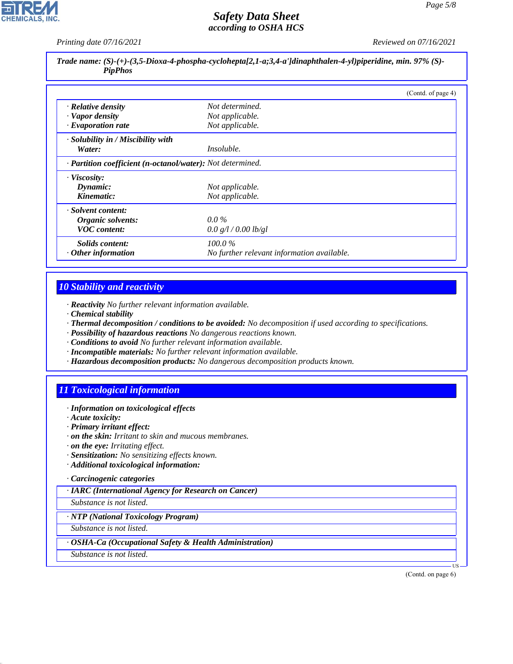*Printing date 07/16/2021 Reviewed on 07/16/2021*

*Trade name: (S)-(+)-(3,5-Dioxa-4-phospha-cyclohepta[2,1-a;3,4-a']dinaphthalen-4-yl)piperidine, min. 97% (S)- PipPhos*

|                                                            |                                            | (Contd. of page 4) |
|------------------------------------------------------------|--------------------------------------------|--------------------|
| · Relative density                                         | Not determined.                            |                    |
| · Vapor density                                            | Not applicable.                            |                    |
| $\cdot$ Evaporation rate                                   | Not applicable.                            |                    |
| $\cdot$ Solubility in / Miscibility with                   |                                            |                    |
| Water:                                                     | <i>Insoluble.</i>                          |                    |
| · Partition coefficient (n-octanol/water): Not determined. |                                            |                    |
| · Viscosity:                                               |                                            |                    |
| Dynamic:                                                   | Not applicable.                            |                    |
| Kinematic:                                                 | Not applicable.                            |                    |
| · Solvent content:                                         |                                            |                    |
| Organic solvents:                                          | $0.0\%$                                    |                    |
| <b>VOC</b> content:                                        | 0.0 g/l / 0.00 lb/gl                       |                    |
| Solids content:                                            | $100.0\%$                                  |                    |
| $\cdot$ Other information                                  | No further relevant information available. |                    |

## *10 Stability and reactivity*

- *· Reactivity No further relevant information available.*
- *· Chemical stability*
- *· Thermal decomposition / conditions to be avoided: No decomposition if used according to specifications.*
- *· Possibility of hazardous reactions No dangerous reactions known.*
- *· Conditions to avoid No further relevant information available.*
- *· Incompatible materials: No further relevant information available.*
- *· Hazardous decomposition products: No dangerous decomposition products known.*

## *11 Toxicological information*

- *· Information on toxicological effects*
- *· Acute toxicity:*
- *· Primary irritant effect:*
- *· on the skin: Irritant to skin and mucous membranes.*
- *· on the eye: Irritating effect.*
- *· Sensitization: No sensitizing effects known.*
- *· Additional toxicological information:*
- *· Carcinogenic categories*

*· IARC (International Agency for Research on Cancer)*

*Substance is not listed.*

*· NTP (National Toxicology Program)*

*Substance is not listed.*

*· OSHA-Ca (Occupational Safety & Health Administration)*

*Substance is not listed.*

44.1.1

(Contd. on page 6)

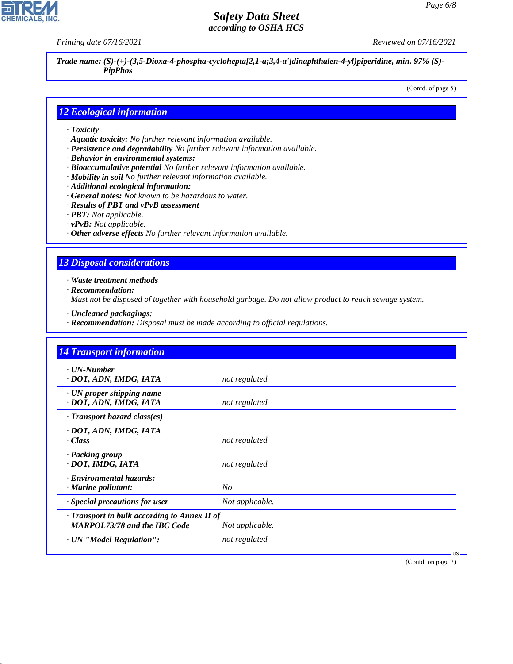**CHEMICALS, INC** 

*Printing date 07/16/2021 Reviewed on 07/16/2021*

*Trade name: (S)-(+)-(3,5-Dioxa-4-phospha-cyclohepta[2,1-a;3,4-a']dinaphthalen-4-yl)piperidine, min. 97% (S)- PipPhos*

(Contd. of page 5)

### *12 Ecological information*

- *· Toxicity*
- *· Aquatic toxicity: No further relevant information available.*
- *· Persistence and degradability No further relevant information available.*
- *· Behavior in environmental systems:*
- *· Bioaccumulative potential No further relevant information available.*
- *· Mobility in soil No further relevant information available.*
- *· Additional ecological information:*
- *· General notes: Not known to be hazardous to water.*
- *· Results of PBT and vPvB assessment*
- *· PBT: Not applicable.*
- *· vPvB: Not applicable.*
- *· Other adverse effects No further relevant information available.*

## *13 Disposal considerations*

*· Waste treatment methods*

*· Recommendation:*

44.1.1

*Must not be disposed of together with household garbage. Do not allow product to reach sewage system.*

- *· Uncleaned packagings:*
- *· Recommendation: Disposal must be made according to official regulations.*

| <b>14 Transport information</b>                                                     |                 |
|-------------------------------------------------------------------------------------|-----------------|
| · UN-Number<br>· DOT, ADN, IMDG, IATA                                               | not regulated   |
| · UN proper shipping name<br>· DOT, ADN, IMDG, IATA                                 | not regulated   |
| $\cdot$ Transport hazard class(es)                                                  |                 |
| · DOT, ADN, IMDG, IATA<br>· Class                                                   | not regulated   |
| · Packing group<br>· DOT, IMDG, IATA                                                | not regulated   |
| · Environmental hazards:<br>· Marine pollutant:                                     | N <sub>O</sub>  |
| · Special precautions for user                                                      | Not applicable. |
| · Transport in bulk according to Annex II of<br><b>MARPOL73/78 and the IBC Code</b> | Not applicable. |
| · UN "Model Regulation":                                                            | not regulated   |

(Contd. on page 7)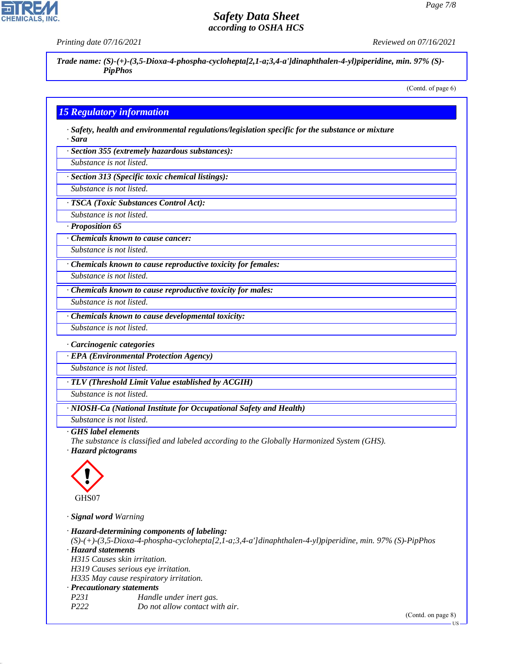**CHEMICALS** 

*Printing date 07/16/2021 Reviewed on 07/16/2021*

*Trade name: (S)-(+)-(3,5-Dioxa-4-phospha-cyclohepta[2,1-a;3,4-a']dinaphthalen-4-yl)piperidine, min. 97% (S)- PipPhos*

(Contd. of page 6)

## *15 Regulatory information*

*· Safety, health and environmental regulations/legislation specific for the substance or mixture · Sara*

*· Section 355 (extremely hazardous substances):*

*Substance is not listed.*

*· Section 313 (Specific toxic chemical listings):*

*Substance is not listed.*

*· TSCA (Toxic Substances Control Act):*

*Substance is not listed.*

*· Proposition 65*

*· Chemicals known to cause cancer:*

*Substance is not listed.*

*· Chemicals known to cause reproductive toxicity for females:*

*Substance is not listed.*

*Substance is not listed.*

*· Chemicals known to cause reproductive toxicity for males:*

*· Chemicals known to cause developmental toxicity:*

*Substance is not listed.*

*· Carcinogenic categories*

*· EPA (Environmental Protection Agency)*

*Substance is not listed.*

*· TLV (Threshold Limit Value established by ACGIH)*

*Substance is not listed.*

*· NIOSH-Ca (National Institute for Occupational Safety and Health)*

*Substance is not listed.*

#### *· GHS label elements*

*The substance is classified and labeled according to the Globally Harmonized System (GHS).*

*· Hazard pictograms*



44.1.1

*· Signal word Warning*

*· Hazard-determining components of labeling: (S)-(+)-(3,5-Dioxa-4-phospha-cyclohepta[2,1-a;3,4-a']dinaphthalen-4-yl)piperidine, min. 97% (S)-PipPhos · Hazard statements H315 Causes skin irritation. H319 Causes serious eye irritation. H335 May cause respiratory irritation. · Precautionary statements P231 Handle under inert gas. P222 Do not allow contact with air.*